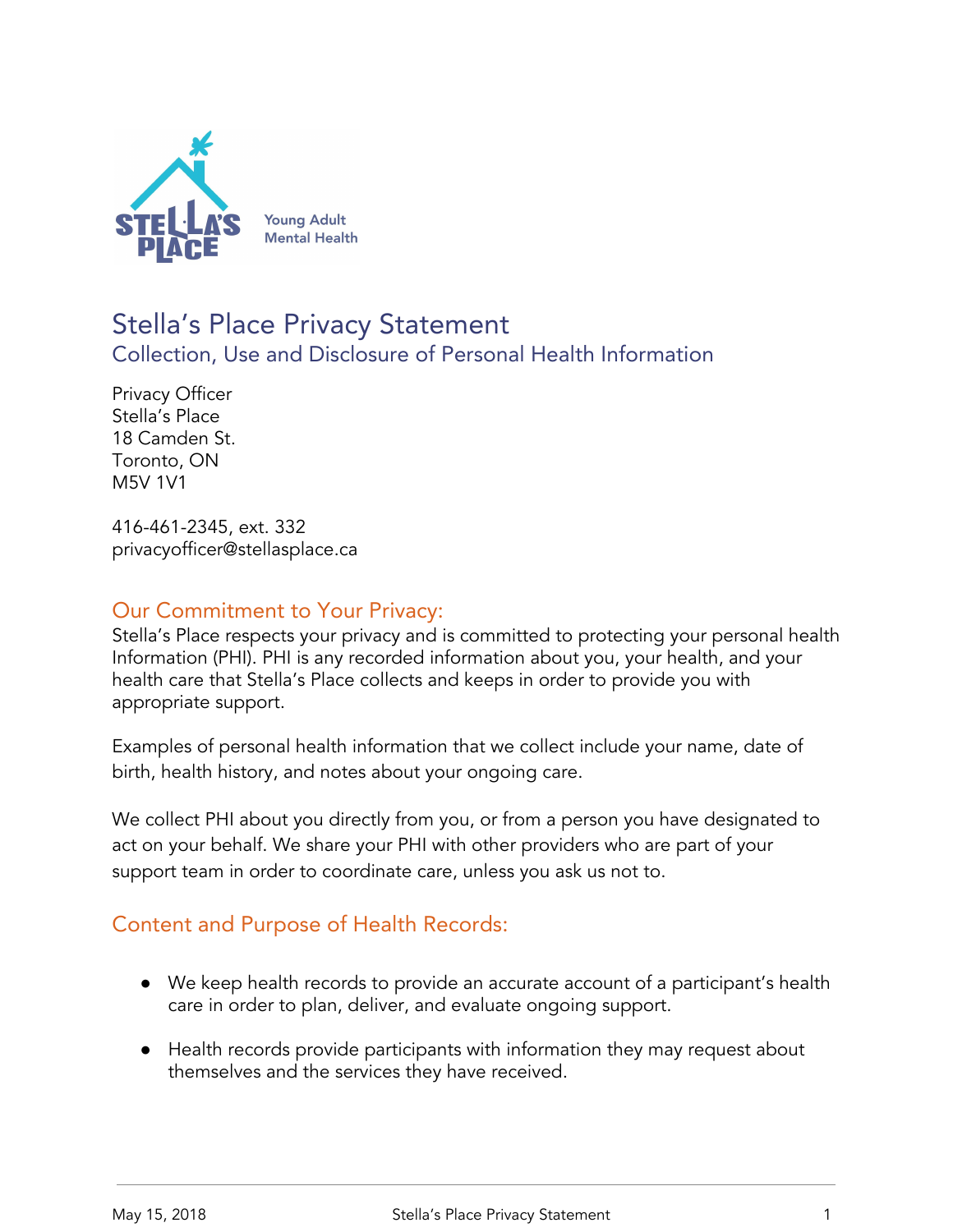

# Stella's Place Privacy Statement

Collection, Use and Disclosure of Personal Health Information

Privacy Officer Stella's Place 18 Camden St. Toronto, ON M5V 1V1

416-461-2345, ext. 332 privacyofficer@stellasplace.ca

## Our Commitment to Your Privacy:

Stella's Place respects your privacy and is committed to protecting your personal health Information (PHI). PHI is any recorded information about you, your health, and your health care that Stella's Place collects and keeps in order to provide you with appropriate support.

Examples of personal health information that we collect include your name, date of birth, health history, and notes about your ongoing care.

We collect PHI about you directly from you, or from a person you have designated to act on your behalf. We share your PHI with other providers who are part of your support team in order to coordinate care, unless you ask us not to.

# Content and Purpose of Health Records:

- We keep health records to provide an accurate account of a participant's health care in order to plan, deliver, and evaluate ongoing support.
- Health records provide participants with information they may request about themselves and the services they have received.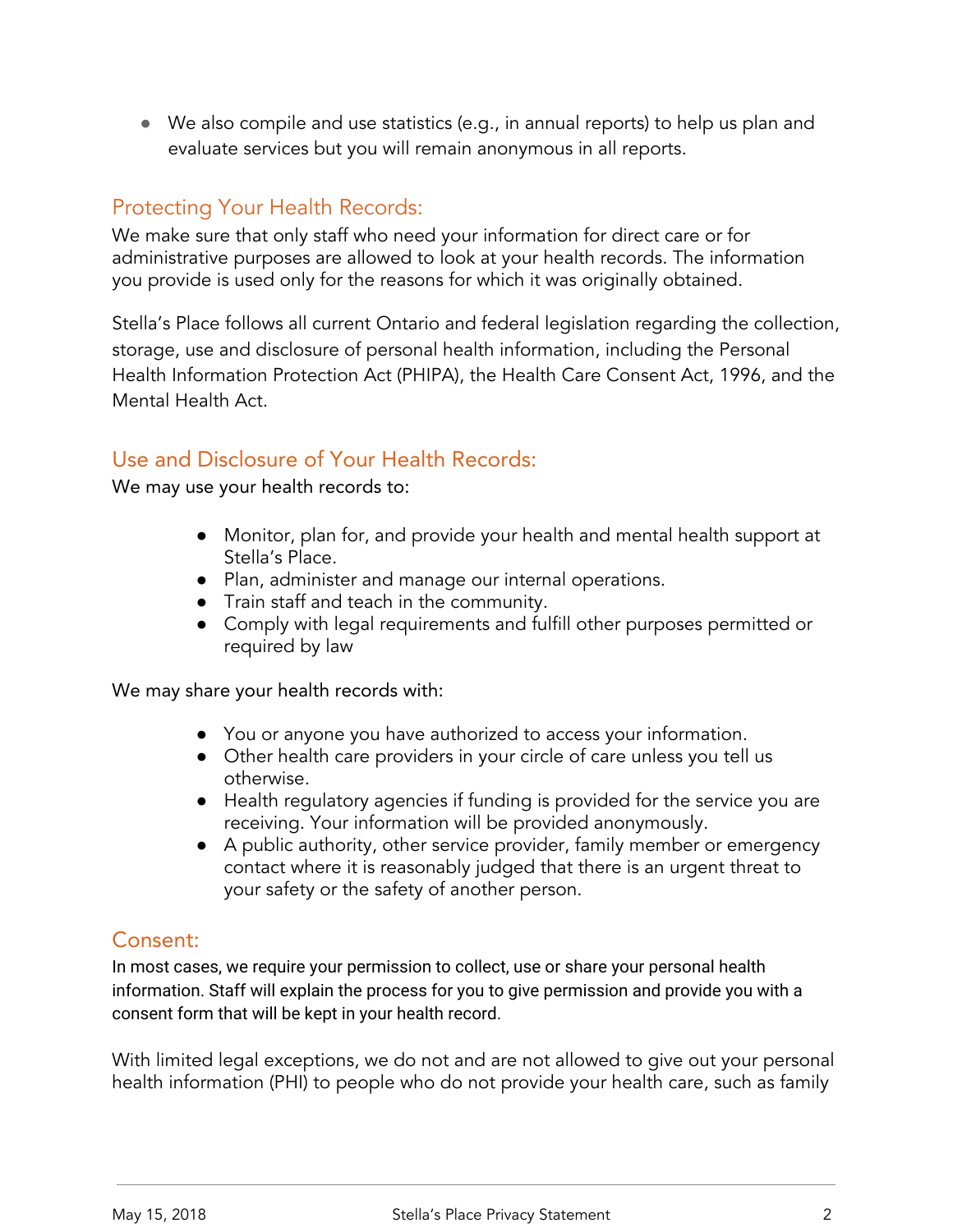● We also compile and use statistics (e.g., in annual reports) to help us plan and evaluate services but you will remain anonymous in all reports.

## Protecting Your Health Records:

We make sure that only staff who need your information for direct care or for administrative purposes are allowed to look at your health records. The information you provide is used only for the reasons for which it was originally obtained.

Stella's Place follows all current Ontario and federal legislation regarding the collection, storage, use and disclosure of personal health information, including the Personal Health Information Protection Act (PHIPA), the Health Care Consent Act, 1996, and the Mental Health Act.

#### Use and Disclosure of Your Health Records:

We may use your health records to:

- Monitor, plan for, and provide your health and mental health support at Stella's Place.
- Plan, administer and manage our internal operations.
- Train staff and teach in the community.
- Comply with legal requirements and fulfill other purposes permitted or required by law

We may share your health records with:

- You or anyone you have authorized to access your information.
- Other health care providers in your circle of care unless you tell us otherwise.
- Health regulatory agencies if funding is provided for the service you are receiving. Your information will be provided anonymously.
- A public authority, other service provider, family member or emergency contact where it is reasonably judged that there is an urgent threat to your safety or the safety of another person.

#### Consent:

In most cases, we require your permission to collect, use or share your personal health information. Staff will explain the process for you to give permission and provide you with a consent form that will be kept in your health record.

With limited legal exceptions, we do not and are not allowed to give out your personal health information (PHI) to people who do not provide your health care, such as family